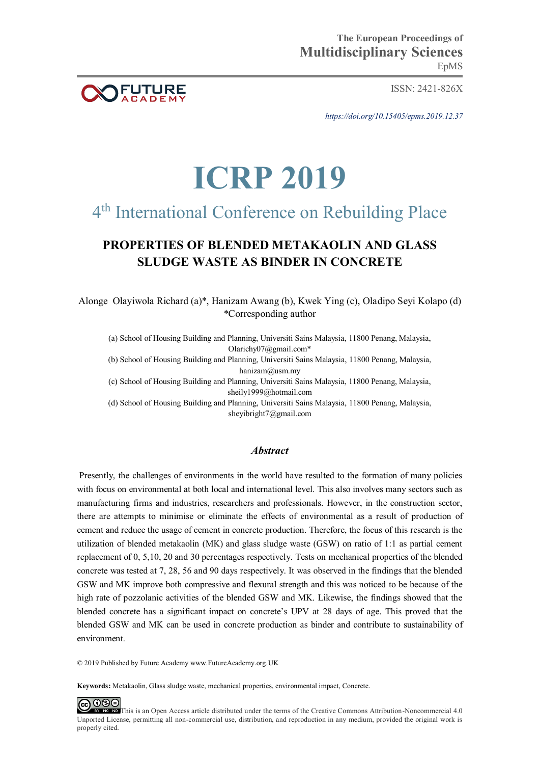

ISSN: 2421-826X

*https://doi.org/10.15405/epms.2019.12.37* 

# **ICRP 2019**

## 4 th International Conference on Rebuilding Place

### **PROPERTIES OF BLENDED METAKAOLIN AND GLASS SLUDGE WASTE AS BINDER IN CONCRETE**

Alonge Olayiwola Richard (a)\*, Hanizam Awang (b), Kwek Ying (c), Oladipo Seyi Kolapo (d) \*Corresponding author

(a) School of Housing Building and Planning, Universiti Sains Malaysia, 11800 Penang, Malaysia, [Olarichy07@gmail.com\\*](mailto:Olarichy07@gmail.com*)

(b) School of Housing Building and Planning, Universiti Sains Malaysia, 11800 Penang, Malaysia, hanizam@usm.my

(c) School of Housing Building and Planning, Universiti Sains Malaysia, 11800 Penang, Malaysia, [sheily1999@hotmail.com](mailto:sheily1999@hotmail.com)

(d) School of Housing Building and Planning, Universiti Sains Malaysia, 11800 Penang, Malaysia, sheyibright7@gmail.com

#### *Abstract*

 Presently, the challenges of environments in the world have resulted to the formation of many policies with focus on environmental at both local and international level. This also involves many sectors such as manufacturing firms and industries, researchers and professionals. However, in the construction sector, there are attempts to minimise or eliminate the effects of environmental as a result of production of cement and reduce the usage of cement in concrete production. Therefore, the focus of this research is the utilization of blended metakaolin (MK) and glass sludge waste (GSW) on ratio of 1:1 as partial cement replacement of 0, 5,10, 20 and 30 percentages respectively. Tests on mechanical properties of the blended concrete was tested at 7, 28, 56 and 90 days respectively. It was observed in the findings that the blended GSW and MK improve both compressive and flexural strength and this was noticed to be because of the high rate of pozzolanic activities of the blended GSW and MK. Likewise, the findings showed that the blended concrete has a significant impact on concrete's UPV at 28 days of age. This proved that the blended GSW and MK can be used in concrete production as binder and contribute to sustainability of environment.

© 2019 Published by Future Academy www.FutureAcademy.org.UK

**Keywords:** Metakaolin, Glass sludge waste, mechanical properties, environmental impact, Concrete.

<u>@000</u> EX[T](http://creativecommons.org/licenses/by-nc-nd/4.0/) NO ND This is an Open Access article distributed under the terms of the Creative Commons Attribution-Noncommercial 4.0 Unported License, permitting all non-commercial use, distribution, and reproduction in any medium, provided the original work is properly cited.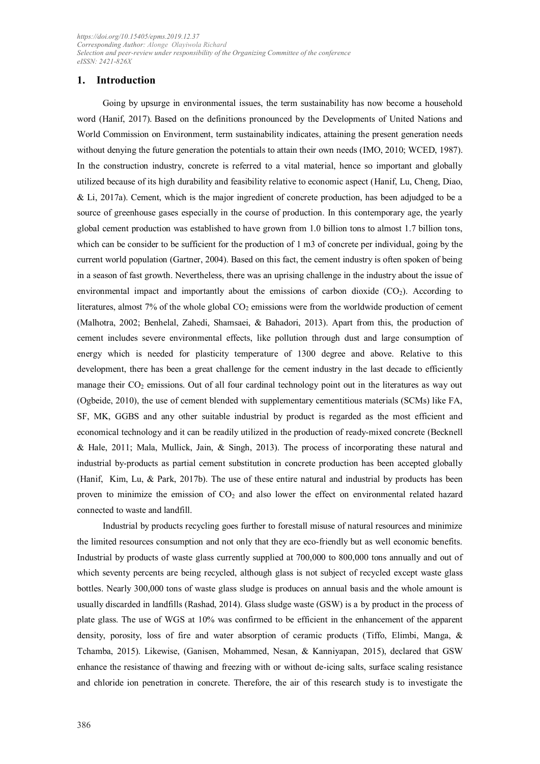#### **1. Introduction**

Going by upsurge in environmental issues, the term sustainability has now become a household word (Hanif, 2017). Based on the definitions pronounced by the Developments of United Nations and World Commission on Environment, term sustainability indicates, attaining the present generation needs without denying the future generation the potentials to attain their own needs (IMO, 2010; WCED, 1987). In the construction industry, concrete is referred to a vital material, hence so important and globally utilized because of its high durability and feasibility relative to economic aspect (Hanif, Lu, Cheng, Diao,  $&$  Li, 2017a). Cement, which is the major ingredient of concrete production, has been adjudged to be a source of greenhouse gases especially in the course of production. In this contemporary age, the yearly global cement production was established to have grown from 1.0 billion tons to almost 1.7 billion tons, which can be consider to be sufficient for the production of 1 m3 of concrete per individual, going by the current world population (Gartner, 2004). Based on this fact, the cement industry is often spoken of being in a season of fast growth. Nevertheless, there was an uprising challenge in the industry about the issue of environmental impact and importantly about the emissions of carbon dioxide  $(CO<sub>2</sub>)$ . According to literatures, almost 7% of the whole global  $CO<sub>2</sub>$  emissions were from the worldwide production of cement (Malhotra, 2002; Benhelal, Zahedi, Shamsaei, & Bahadori, 2013). Apart from this, the production of cement includes severe environmental effects, like pollution through dust and large consumption of energy which is needed for plasticity temperature of 1300 degree and above. Relative to this development, there has been a great challenge for the cement industry in the last decade to efficiently manage their CO<sub>2</sub> emissions. Out of all four cardinal technology point out in the literatures as way out (Ogbeide, 2010), the use of cement blended with supplementary cementitious materials (SCMs) like FA, SF, MK, GGBS and any other suitable industrial by product is regarded as the most efficient and economical technology and it can be readily utilized in the production of ready-mixed concrete (Becknell & Hale, 2011; Mala, Mullick, Jain, & Singh, 2013). The process of incorporating these natural and industrial by-products as partial cement substitution in concrete production has been accepted globally (Hanif, Kim, Lu, & Park, 2017b). The use of these entire natural and industrial by products has been proven to minimize the emission of CO<sub>2</sub> and also lower the effect on environmental related hazard connected to waste and landfill.

Industrial by products recycling goes further to forestall misuse of natural resources and minimize the limited resources consumption and not only that they are eco-friendly but as well economic benefits. Industrial by products of waste glass currently supplied at 700,000 to 800,000 tons annually and out of which seventy percents are being recycled, although glass is not subject of recycled except waste glass bottles. Nearly 300,000 tons of waste glass sludge is produces on annual basis and the whole amount is usually discarded in landfills (Rashad, 2014). Glass sludge waste (GSW) is a by product in the process of plate glass. The use of WGS at 10% was confirmed to be efficient in the enhancement of the apparent density, porosity, loss of fire and water absorption of ceramic products (Tiffo, Elimbi, Manga, & Tchamba, 2015). Likewise, (Ganisen, Mohammed, Nesan, & Kanniyapan, 2015), declared that GSW enhance the resistance of thawing and freezing with or without de-icing salts, surface scaling resistance and chloride ion penetration in concrete. Therefore, the air of this research study is to investigate the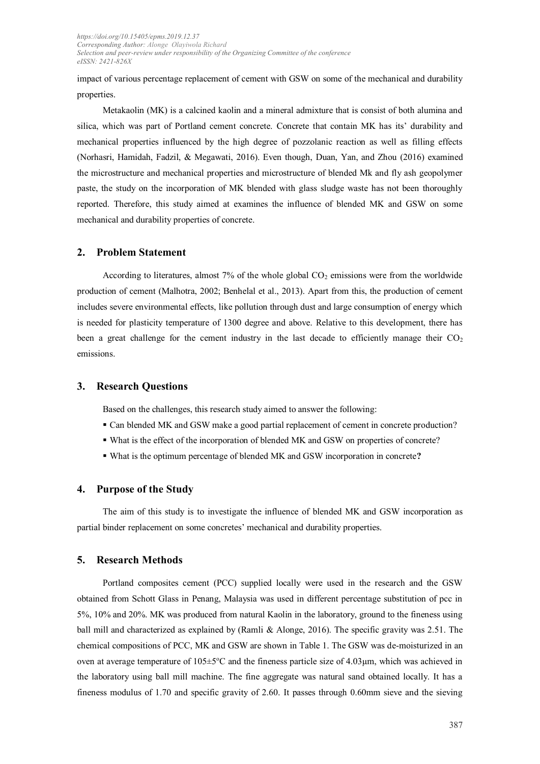impact of various percentage replacement of cement with GSW on some of the mechanical and durability properties.

Metakaolin (MK) is a calcined kaolin and a mineral admixture that is consist of both alumina and silica, which was part of Portland cement concrete. Concrete that contain MK has its' durability and mechanical properties influenced by the high degree of pozzolanic reaction as well as filling effects (Norhasri, Hamidah, Fadzil, & Megawati, 2016). Even though, Duan, Yan, and Zhou (2016) examined the microstructure and mechanical properties and microstructure of blended Mk and fly ash geopolymer paste, the study on the incorporation of MK blended with glass sludge waste has not been thoroughly reported. Therefore, this study aimed at examines the influence of blended MK and GSW on some mechanical and durability properties of concrete.

#### **2. Problem Statement**

According to literatures, almost  $7\%$  of the whole global  $CO<sub>2</sub>$  emissions were from the worldwide production of cement (Malhotra, 2002; Benhelal et al., 2013). Apart from this, the production of cement includes severe environmental effects, like pollution through dust and large consumption of energy which is needed for plasticity temperature of 1300 degree and above. Relative to this development, there has been a great challenge for the cement industry in the last decade to efficiently manage their  $CO<sub>2</sub>$ emissions.

#### **3. Research Questions**

Based on the challenges, this research study aimed to answer the following:

- Can blended MK and GSW make a good partial replacement of cement in concrete production?
- What is the effect of the incorporation of blended MK and GSW on properties of concrete?
- What is the optimum percentage of blended MK and GSW incorporation in concrete**?**

#### **4. Purpose of the Study**

The aim of this study is to investigate the influence of blended MK and GSW incorporation as partial binder replacement on some concretes' mechanical and durability properties.

#### **5. Research Methods**

Portland composites cement (PCC) supplied locally were used in the research and the GSW obtained from Schott Glass in Penang, Malaysia was used in different percentage substitution of pcc in 5%, 10% and 20%. MK was produced from natural Kaolin in the laboratory, ground to the fineness using ball mill and characterized as explained by (Ramli & Alonge, 2016). The specific gravity was 2.51. The chemical compositions of PCC, MK and GSW are shown in Table 1. The GSW was de-moisturized in an oven at average temperature of  $105\pm5\degree$ C and the fineness particle size of 4.03 $\mu$ m, which was achieved in the laboratory using ball mill machine. The fine aggregate was natural sand obtained locally. It has a fineness modulus of 1.70 and specific gravity of 2.60. It passes through 0.60mm sieve and the sieving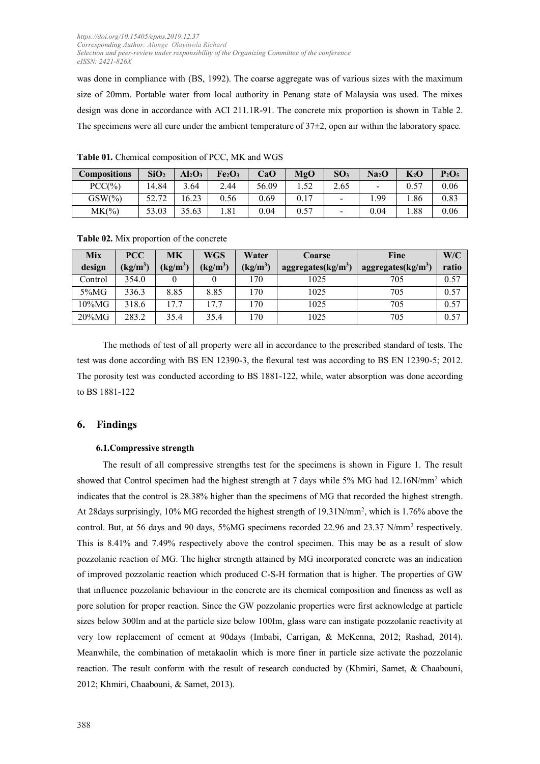was done in compliance with (BS, 1992). The coarse aggregate was of various sizes with the maximum size of 20mm. Portable water from local authority in Penang state of Malaysia was used. The mixes design was done in accordance with ACI 211.1R-91. The concrete mix proportion is shown in Table 2. The specimens were all cure under the ambient temperature of  $37\pm2$ , open air within the laboratory space.

| <b>Compositions</b> | SiO <sub>2</sub> | $Al_2O_3$ | Fe <sub>2</sub> O <sub>3</sub> | CaO   | MgO  | SO <sub>3</sub> | Na <sub>2</sub> O        | $K_2$ O | $P_2O_5$ |
|---------------------|------------------|-----------|--------------------------------|-------|------|-----------------|--------------------------|---------|----------|
| $PCC(\% )$          | 14.84            | 3.64      | 2.44                           | 56.09 | 1.52 | 2.65            | $\overline{\phantom{a}}$ | 0.57    | 0.06     |
| $GSW(\% )$          | 52.72            | 6.23      | 0.56                           | 0.69  | 0.17 |                 | .99                      | .86     | 0.83     |
| MK(%)               | 53.03            | 35.63     | 1.81                           | 0.04  | 0.57 |                 | 0.04                     | .88     | 0.06     |

**Table 01.** Chemical composition of PCC, MK and WGS

|  |  | Table 02. Mix proportion of the concrete |  |  |
|--|--|------------------------------------------|--|--|
|--|--|------------------------------------------|--|--|

| <b>Mix</b> | <b>PCC</b> | <b>MK</b>  | <b>WGS</b>      | Water      | <b>Coarse</b>         | Fine                  | W/C   |
|------------|------------|------------|-----------------|------------|-----------------------|-----------------------|-------|
| design     | $(kg/m^3)$ | $(kg/m^3)$ | $\text{kg/m}^3$ | $(kg/m^3)$ | aggregates( $kg/m3$ ) | aggregates( $kg/m3$ ) | ratio |
| Control    | 354.0      |            |                 | 170        | 1025                  | 705                   | 0.57  |
| 5%MG       | 336.3      | 8.85       | 8.85            | 170        | 1025                  | 705                   | 0.57  |
| $10\%$ MG  | 318.6      | 17.7       | 17.7            | 170        | 1025                  | 705                   | 0.57  |
| $20\%$ MG  | 283.2      | 35.4       | 35.4            | 170        | 1025                  | 705                   | 0.57  |

The methods of test of all property were all in accordance to the prescribed standard of tests. The test was done according with BS EN 12390-3, the flexural test was according to BS EN 12390-5; 2012. The porosity test was conducted according to BS 1881-122, while, water absorption was done according to BS 1881-122

#### **6. Findings**

#### **6.1.Compressive strength**

The result of all compressive strengths test for the specimens is shown in Figure 1. The result showed that Control specimen had the highest strength at 7 days while 5% MG had 12.16N/mm<sup>2</sup> which indicates that the control is 28.38% higher than the specimens of MG that recorded the highest strength. At 28days surprisingly, 10% MG recorded the highest strength of 19.31N/mm<sup>2</sup> , which is 1.76% above the control. But, at 56 days and 90 days, 5%MG specimens recorded 22.96 and 23.37 N/mm<sup>2</sup> respectively. This is 8.41% and 7.49% respectively above the control specimen. This may be as a result of slow pozzolanic reaction of MG. The higher strength attained by MG incorporated concrete was an indication of improved pozzolanic reaction which produced C-S-H formation that is higher. The properties of GW that influence pozzolanic behaviour in the concrete are its chemical composition and fineness as well as pore solution for proper reaction. Since the GW pozzolanic properties were first acknowledge at particle sizes below 300lm and at the particle size below 100Im, glass ware can instigate pozzolanic reactivity at very low replacement of cement at 90days (Imbabi, Carrigan, & McKenna, 2012; Rashad, 2014). Meanwhile, the combination of metakaolin which is more finer in particle size activate the pozzolanic reaction. The result conform with the result of research conducted by (Khmiri, Samet, & Chaabouni, 2012; Khmiri, Chaabouni, & Samet, 2013).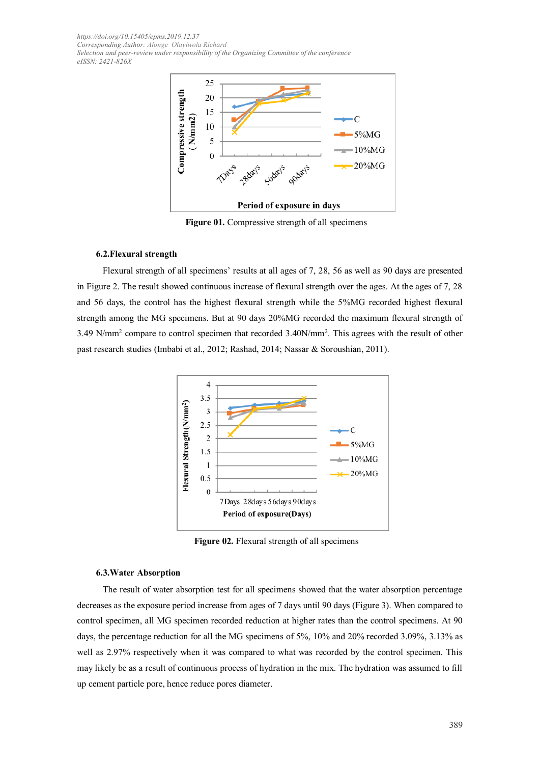

**Figure 01.** Compressive strength of all specimens

#### **6.2.Flexural strength**

Flexural strength of all specimens' results at all ages of 7, 28, 56 as well as 90 days are presented in Figure 2. The result showed continuous increase of flexural strength over the ages. At the ages of 7, 28 and 56 days, the control has the highest flexural strength while the 5%MG recorded highest flexural strength among the MG specimens. But at 90 days 20%MG recorded the maximum flexural strength of 3.49 N/mm<sup>2</sup> compare to control specimen that recorded 3.40N/mm<sup>2</sup> . This agrees with the result of other past research studies (Imbabi et al., 2012; Rashad, 2014; Nassar & Soroushian, 2011).



**Figure 02.** Flexural strength of all specimens

#### **6.3.Water Absorption**

The result of water absorption test for all specimens showed that the water absorption percentage decreases as the exposure period increase from ages of 7 days until 90 days (Figure 3). When compared to control specimen, all MG specimen recorded reduction at higher rates than the control specimens. At 90 days, the percentage reduction for all the MG specimens of 5%, 10% and 20% recorded 3.09%, 3.13% as well as 2.97% respectively when it was compared to what was recorded by the control specimen. This may likely be as a result of continuous process of hydration in the mix. The hydration was assumed to fill up cement particle pore, hence reduce pores diameter.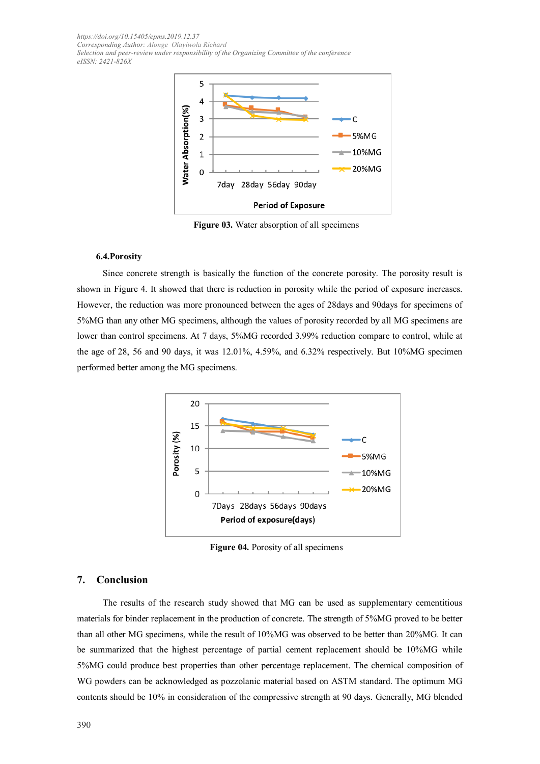

**Figure 03.** Water absorption of all specimens

#### **6.4.Porosity**

Since concrete strength is basically the function of the concrete porosity. The porosity result is shown in Figure 4. It showed that there is reduction in porosity while the period of exposure increases. However, the reduction was more pronounced between the ages of 28days and 90days for specimens of 5%MG than any other MG specimens, although the values of porosity recorded by all MG specimens are lower than control specimens. At 7 days, 5%MG recorded 3.99% reduction compare to control, while at the age of 28, 56 and 90 days, it was 12.01%, 4.59%, and 6.32% respectively. But 10%MG specimen performed better among the MG specimens.



**Figure 04.** Porosity of all specimens

#### **7. Conclusion**

The results of the research study showed that MG can be used as supplementary cementitious materials for binder replacement in the production of concrete. The strength of 5%MG proved to be better than all other MG specimens, while the result of 10%MG was observed to be better than 20%MG. It can be summarized that the highest percentage of partial cement replacement should be 10%MG while 5%MG could produce best properties than other percentage replacement. The chemical composition of WG powders can be acknowledged as pozzolanic material based on ASTM standard. The optimum MG contents should be 10% in consideration of the compressive strength at 90 days. Generally, MG blended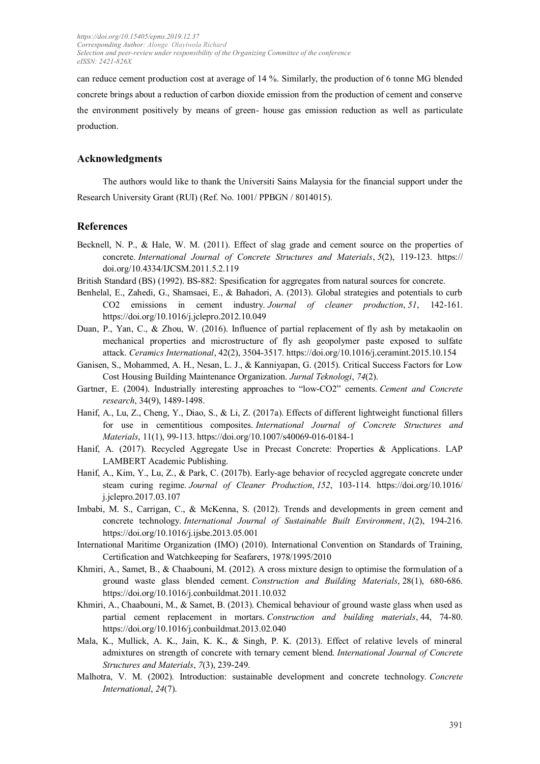can reduce cement production cost at average of 14 %. Similarly, the production of 6 tonne MG blended concrete brings about a reduction of carbon dioxide emission from the production of cement and conserve the environment positively by means of green- house gas emission reduction as well as particulate production.

#### **Acknowledgments**

The authors would like to thank the Universiti Sains Malaysia for the financial support under the Research University Grant (RUI) (Ref. No. 1001/ PPBGN / 8014015).

#### **References**

- Becknell, N. P., & Hale, W. M. (2011). Effect of slag grade and cement source on the properties of concrete. *International Journal of Concrete Structures and Materials*, *5*(2), 119-123. https:// doi.org/10.4334/IJCSM.2011.5.2.119
- British Standard (BS) (1992). BS-882: Spesification for aggregates from natural sources for concrete.
- Benhelal, E., Zahedi, G., Shamsaei, E., & Bahadori, A. (2013). Global strategies and potentials to curb CO2 emissions in cement industry. *Journal of cleaner production*, *51*, 142-161. https://doi.org/10.1016/j.jclepro.2012.10.049
- Duan, P., Yan, C., & Zhou, W. (2016). Influence of partial replacement of fly ash by metakaolin on mechanical properties and microstructure of fly ash geopolymer paste exposed to sulfate attack. *Ceramics International*, 42(2), 3504-3517. https://doi.org/10.1016/j.ceramint.2015.10.154
- Ganisen, S., Mohammed, A. H., Nesan, L. J., & Kanniyapan, G. (2015). Critical Success Factors for Low Cost Housing Building Maintenance Organization. *Jurnal Teknologi*, *74*(2).
- Gartner, E. (2004). Industrially interesting approaches to "low-CO2" cements. *Cement and Concrete research*, 34(9), 1489-1498.
- Hanif, A., Lu, Z., Cheng, Y., Diao, S., & Li, Z. (2017a). Effects of different lightweight functional fillers for use in cementitious composites. *International Journal of Concrete Structures and Materials*, 11(1), 99-113. https://doi.org/10.1007/s40069-016-0184-1
- Hanif, A. (2017). Recycled Aggregate Use in Precast Concrete: Properties & Applications. LAP LAMBERT Academic Publishing.
- Hanif, A., Kim, Y., Lu, Z., & Park, C. (2017b). Early-age behavior of recycled aggregate concrete under steam curing regime. *Journal of Cleaner Production*, *152*, 103-114. <https://doi.org/10.1016/> j.jclepro.2017.03.107
- Imbabi, M. S., Carrigan, C., & McKenna, S. (2012). Trends and developments in green cement and concrete technology. *International Journal of Sustainable Built Environment*, *1*(2), 194-216. <https://doi.org/10.1016/j.ijsbe.2013.05.001>
- International Maritime Organization (IMO) (2010). International Convention on Standards of Training, Certification and Watchkeeping for Seafarers, 1978/1995/2010
- Khmiri, A., Samet, B., & Chaabouni, M. (2012). A cross mixture design to optimise the formulation of a ground waste glass blended cement. *Construction and Building Materials*, 28(1), 680-686. https://doi.org/10.1016/j.conbuildmat.2011.10.032
- Khmiri, A., Chaabouni, M., & Samet, B. (2013). Chemical behaviour of ground waste glass when used as partial cement replacement in mortars. *Construction and building materials*, 44, 74-80. https://doi.org/10.1016/j.conbuildmat.2013.02.040
- Mala, K., Mullick, A. K., Jain, K. K., & Singh, P. K. (2013). Effect of relative levels of mineral admixtures on strength of concrete with ternary cement blend. *International Journal of Concrete Structures and Materials*, *7*(3), 239-249.
- Malhotra, V. M. (2002). Introduction: sustainable development and concrete technology. *Concrete International*, *24*(7).